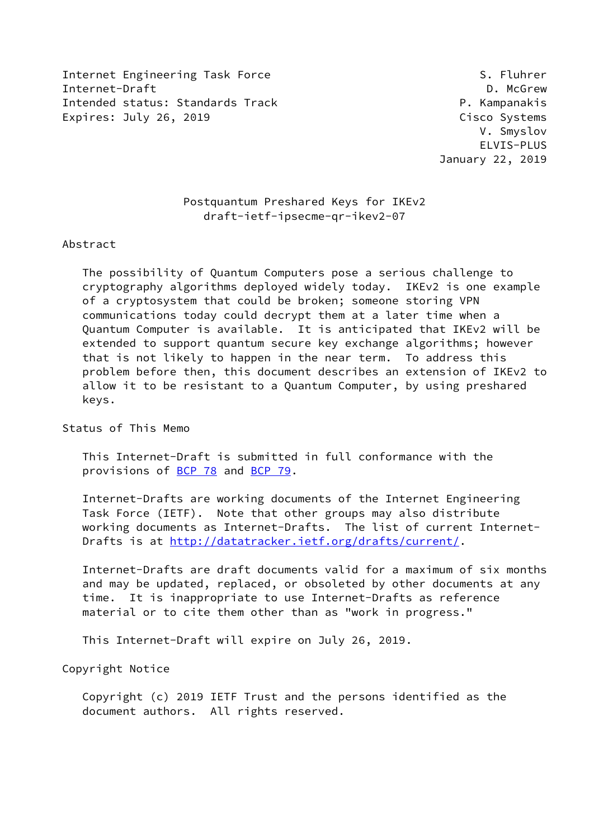Internet Engineering Task Force S. Fluhrer Internet-Draft **D. McGrew** Intended status: Standards Track P. Kampanakis Expires: July 26, 2019 **Cisco Systems** 

 V. Smyslov ELVIS-PLUS January 22, 2019

# Postquantum Preshared Keys for IKEv2 draft-ietf-ipsecme-qr-ikev2-07

#### Abstract

 The possibility of Quantum Computers pose a serious challenge to cryptography algorithms deployed widely today. IKEv2 is one example of a cryptosystem that could be broken; someone storing VPN communications today could decrypt them at a later time when a Quantum Computer is available. It is anticipated that IKEv2 will be extended to support quantum secure key exchange algorithms; however that is not likely to happen in the near term. To address this problem before then, this document describes an extension of IKEv2 to allow it to be resistant to a Quantum Computer, by using preshared keys.

Status of This Memo

 This Internet-Draft is submitted in full conformance with the provisions of [BCP 78](https://datatracker.ietf.org/doc/pdf/bcp78) and [BCP 79](https://datatracker.ietf.org/doc/pdf/bcp79).

 Internet-Drafts are working documents of the Internet Engineering Task Force (IETF). Note that other groups may also distribute working documents as Internet-Drafts. The list of current Internet Drafts is at<http://datatracker.ietf.org/drafts/current/>.

 Internet-Drafts are draft documents valid for a maximum of six months and may be updated, replaced, or obsoleted by other documents at any time. It is inappropriate to use Internet-Drafts as reference material or to cite them other than as "work in progress."

This Internet-Draft will expire on July 26, 2019.

Copyright Notice

 Copyright (c) 2019 IETF Trust and the persons identified as the document authors. All rights reserved.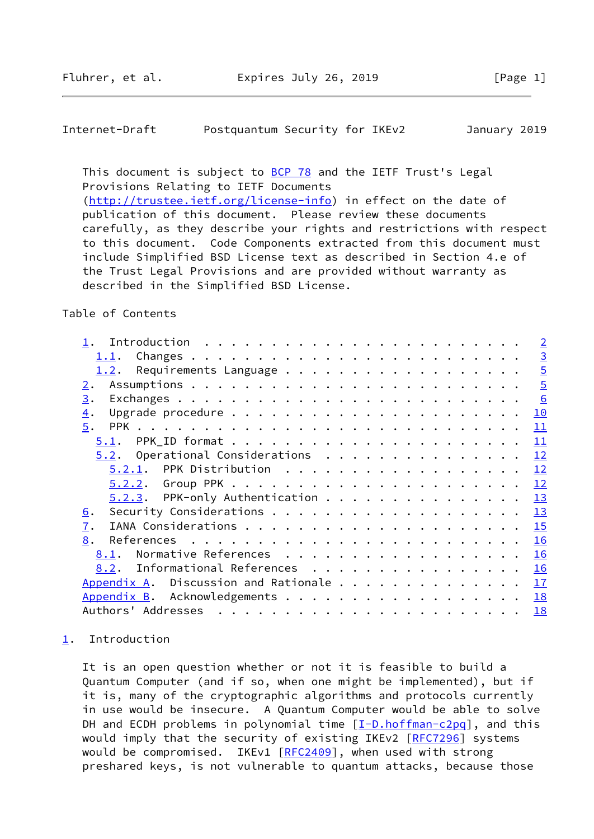## <span id="page-1-1"></span>Internet-Draft Postquantum Security for IKEv2 January 2019

This document is subject to [BCP 78](https://datatracker.ietf.org/doc/pdf/bcp78) and the IETF Trust's Legal Provisions Relating to IETF Documents [\(http://trustee.ietf.org/license-info](http://trustee.ietf.org/license-info)) in effect on the date of publication of this document. Please review these documents carefully, as they describe your rights and restrictions with respect to this document. Code Components extracted from this document must include Simplified BSD License text as described in Section 4.e of the Trust Legal Provisions and are provided without warranty as described in the Simplified BSD License.

### Table of Contents

|                                      |  |  | $\overline{2}$ |
|--------------------------------------|--|--|----------------|
| 1.1.                                 |  |  | $\overline{3}$ |
| 1.2.                                 |  |  | $\overline{5}$ |
| 2.                                   |  |  | $\overline{5}$ |
| 3.                                   |  |  | 6              |
| $\overline{4}$ .                     |  |  | 10             |
| 5.                                   |  |  | 11             |
| 5.1.                                 |  |  | 11             |
| $5.2.$ Operational Considerations    |  |  | 12             |
| $5.2.1$ . PPK Distribution           |  |  | 12             |
|                                      |  |  | 12             |
| $5.2.3$ . PPK-only Authentication    |  |  | 13             |
| <u>6</u> .                           |  |  | 13             |
| $\overline{1}$ .                     |  |  | 15             |
| 8.                                   |  |  | 16             |
| Normative References<br>8.1.         |  |  | 16             |
| Informational References<br>8.2.     |  |  | 16             |
| Appendix A. Discussion and Rationale |  |  | 17             |
|                                      |  |  | 18             |
|                                      |  |  | 18             |

## <span id="page-1-0"></span>[1](#page-1-0). Introduction

 It is an open question whether or not it is feasible to build a Quantum Computer (and if so, when one might be implemented), but if it is, many of the cryptographic algorithms and protocols currently in use would be insecure. A Quantum Computer would be able to solve DH and ECDH problems in polynomial time  $[\underline{I-D.hoffman-c2pq}]$ , and this would imply that the security of existing IKEv2 [\[RFC7296](https://datatracker.ietf.org/doc/pdf/rfc7296)] systems would be compromised. IKEv1 [\[RFC2409](https://datatracker.ietf.org/doc/pdf/rfc2409)], when used with strong preshared keys, is not vulnerable to quantum attacks, because those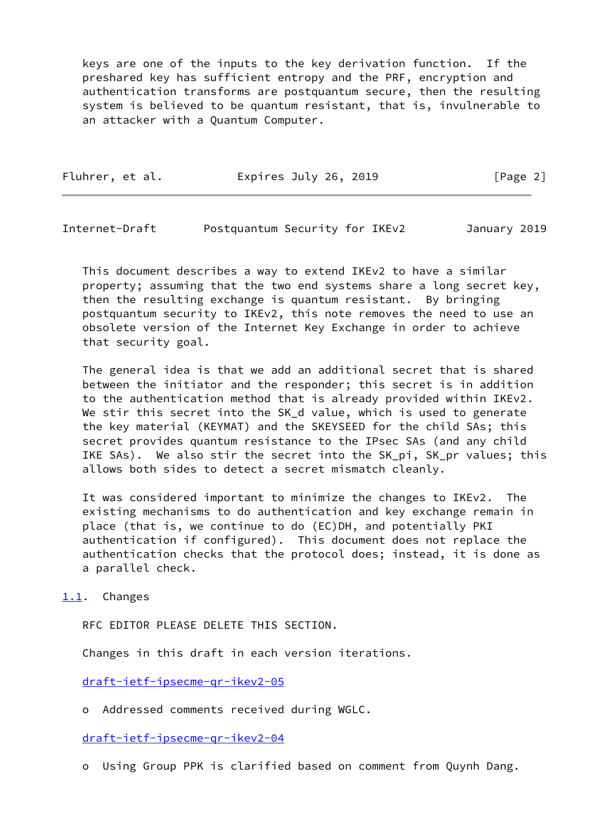keys are one of the inputs to the key derivation function. If the preshared key has sufficient entropy and the PRF, encryption and authentication transforms are postquantum secure, then the resulting system is believed to be quantum resistant, that is, invulnerable to an attacker with a Quantum Computer.

| Fluhrer, et al.<br>Expires July 26, 2019 |  | [Page 2] |
|------------------------------------------|--|----------|
|------------------------------------------|--|----------|

<span id="page-2-1"></span>Internet-Draft Postquantum Security for IKEv2 January 2019

 This document describes a way to extend IKEv2 to have a similar property; assuming that the two end systems share a long secret key, then the resulting exchange is quantum resistant. By bringing postquantum security to IKEv2, this note removes the need to use an obsolete version of the Internet Key Exchange in order to achieve that security goal.

 The general idea is that we add an additional secret that is shared between the initiator and the responder; this secret is in addition to the authentication method that is already provided within IKEv2. We stir this secret into the SK\_d value, which is used to generate the key material (KEYMAT) and the SKEYSEED for the child SAs; this secret provides quantum resistance to the IPsec SAs (and any child IKE SAs). We also stir the secret into the SK\_pi, SK\_pr values; this allows both sides to detect a secret mismatch cleanly.

 It was considered important to minimize the changes to IKEv2. The existing mechanisms to do authentication and key exchange remain in place (that is, we continue to do (EC)DH, and potentially PKI authentication if configured). This document does not replace the authentication checks that the protocol does; instead, it is done as a parallel check.

<span id="page-2-0"></span>[1.1](#page-2-0). Changes

RFC EDITOR PLEASE DELETE THIS SECTION.

Changes in this draft in each version iterations.

[draft-ietf-ipsecme-qr-ikev2-05](https://datatracker.ietf.org/doc/pdf/draft-ietf-ipsecme-qr-ikev2-05)

o Addressed comments received during WGLC.

[draft-ietf-ipsecme-qr-ikev2-04](https://datatracker.ietf.org/doc/pdf/draft-ietf-ipsecme-qr-ikev2-04)

o Using Group PPK is clarified based on comment from Quynh Dang.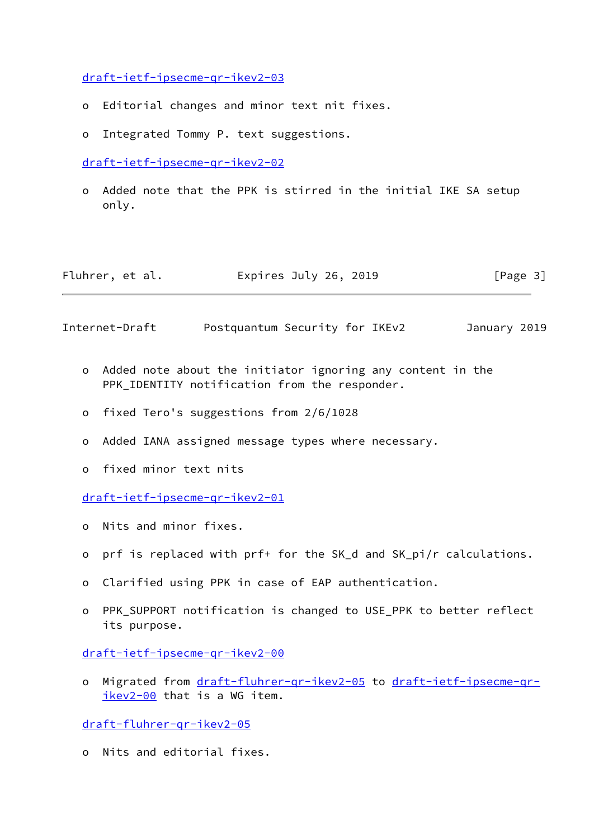[draft-ietf-ipsecme-qr-ikev2-03](https://datatracker.ietf.org/doc/pdf/draft-ietf-ipsecme-qr-ikev2-03)

- o Editorial changes and minor text nit fixes.
- o Integrated Tommy P. text suggestions.

[draft-ietf-ipsecme-qr-ikev2-02](https://datatracker.ietf.org/doc/pdf/draft-ietf-ipsecme-qr-ikev2-02)

 o Added note that the PPK is stirred in the initial IKE SA setup only.

| Fluhrer, et al. | Expires July 26, 2019 | [Page 3] |
|-----------------|-----------------------|----------|
|-----------------|-----------------------|----------|

Internet-Draft Postquantum Security for IKEv2 January 2019

- o Added note about the initiator ignoring any content in the PPK IDENTITY notification from the responder.
- o fixed Tero's suggestions from 2/6/1028
- o Added IANA assigned message types where necessary.
- o fixed minor text nits

[draft-ietf-ipsecme-qr-ikev2-01](https://datatracker.ietf.org/doc/pdf/draft-ietf-ipsecme-qr-ikev2-01)

- o Nits and minor fixes.
- o prf is replaced with prf+ for the SK\_d and SK\_pi/r calculations.
- o Clarified using PPK in case of EAP authentication.
- o PPK\_SUPPORT notification is changed to USE\_PPK to better reflect its purpose.

[draft-ietf-ipsecme-qr-ikev2-00](https://datatracker.ietf.org/doc/pdf/draft-ietf-ipsecme-qr-ikev2-00)

o Migrated from [draft-fluhrer-qr-ikev2-05](https://datatracker.ietf.org/doc/pdf/draft-fluhrer-qr-ikev2-05) to [draft-ietf-ipsecme-qr](https://datatracker.ietf.org/doc/pdf/draft-ietf-ipsecme-qr-ikev2-00) [ikev2-00](https://datatracker.ietf.org/doc/pdf/draft-ietf-ipsecme-qr-ikev2-00) that is a WG item.

[draft-fluhrer-qr-ikev2-05](https://datatracker.ietf.org/doc/pdf/draft-fluhrer-qr-ikev2-05)

o Nits and editorial fixes.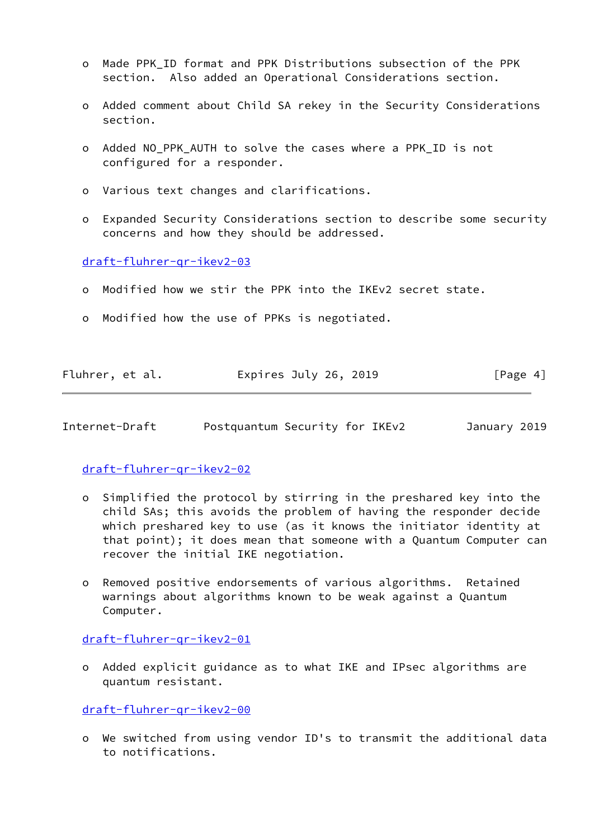- o Made PPK\_ID format and PPK Distributions subsection of the PPK section. Also added an Operational Considerations section.
- o Added comment about Child SA rekey in the Security Considerations section.
- o Added NO\_PPK\_AUTH to solve the cases where a PPK\_ID is not configured for a responder.
- o Various text changes and clarifications.
- o Expanded Security Considerations section to describe some security concerns and how they should be addressed.

[draft-fluhrer-qr-ikev2-03](https://datatracker.ietf.org/doc/pdf/draft-fluhrer-qr-ikev2-03)

- o Modified how we stir the PPK into the IKEv2 secret state.
- o Modified how the use of PPKs is negotiated.

| Fluhrer, et al. | Expires July 26, 2019 | [Page 4] |
|-----------------|-----------------------|----------|
|                 |                       |          |

<span id="page-4-0"></span>Internet-Draft Postquantum Security for IKEv2 January 2019

[draft-fluhrer-qr-ikev2-02](https://datatracker.ietf.org/doc/pdf/draft-fluhrer-qr-ikev2-02)

- o Simplified the protocol by stirring in the preshared key into the child SAs; this avoids the problem of having the responder decide which preshared key to use (as it knows the initiator identity at that point); it does mean that someone with a Quantum Computer can recover the initial IKE negotiation.
- o Removed positive endorsements of various algorithms. Retained warnings about algorithms known to be weak against a Quantum Computer.

[draft-fluhrer-qr-ikev2-01](https://datatracker.ietf.org/doc/pdf/draft-fluhrer-qr-ikev2-01)

 o Added explicit guidance as to what IKE and IPsec algorithms are quantum resistant.

[draft-fluhrer-qr-ikev2-00](https://datatracker.ietf.org/doc/pdf/draft-fluhrer-qr-ikev2-00)

 o We switched from using vendor ID's to transmit the additional data to notifications.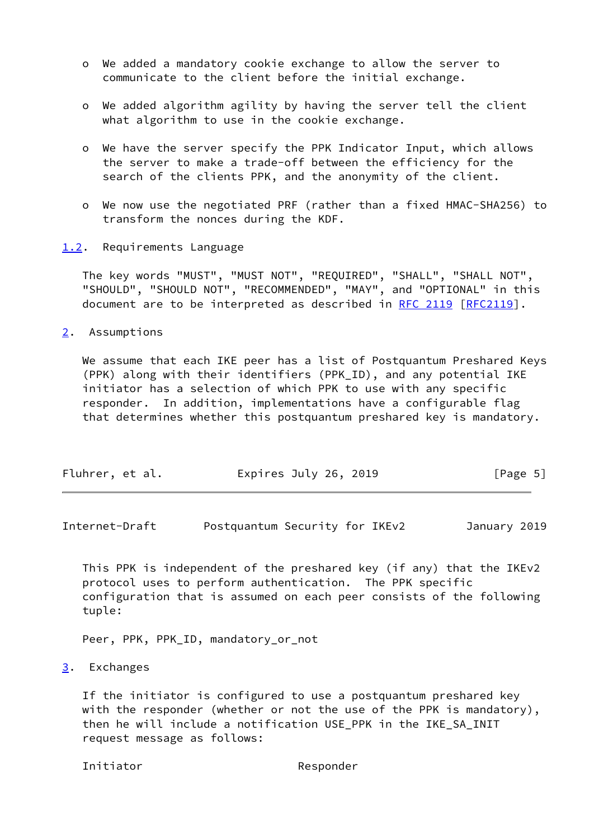- o We added a mandatory cookie exchange to allow the server to communicate to the client before the initial exchange.
- o We added algorithm agility by having the server tell the client what algorithm to use in the cookie exchange.
- o We have the server specify the PPK Indicator Input, which allows the server to make a trade-off between the efficiency for the search of the clients PPK, and the anonymity of the client.
- o We now use the negotiated PRF (rather than a fixed HMAC-SHA256) to transform the nonces during the KDF.
- <span id="page-5-0"></span>[1.2](#page-5-0). Requirements Language

 The key words "MUST", "MUST NOT", "REQUIRED", "SHALL", "SHALL NOT", "SHOULD", "SHOULD NOT", "RECOMMENDED", "MAY", and "OPTIONAL" in this document are to be interpreted as described in [RFC 2119 \[RFC2119](https://datatracker.ietf.org/doc/pdf/rfc2119)].

<span id="page-5-1"></span>[2](#page-5-1). Assumptions

 We assume that each IKE peer has a list of Postquantum Preshared Keys (PPK) along with their identifiers (PPK\_ID), and any potential IKE initiator has a selection of which PPK to use with any specific responder. In addition, implementations have a configurable flag that determines whether this postquantum preshared key is mandatory.

| Fluhrer, et al.<br>Expires July 26, 2019 | [Page 5] |  |
|------------------------------------------|----------|--|
|------------------------------------------|----------|--|

<span id="page-5-3"></span>Internet-Draft Postquantum Security for IKEv2 January 2019

 This PPK is independent of the preshared key (if any) that the IKEv2 protocol uses to perform authentication. The PPK specific configuration that is assumed on each peer consists of the following tuple:

Peer, PPK, PPK\_ID, mandatory\_or\_not

<span id="page-5-2"></span>[3](#page-5-2). Exchanges

 If the initiator is configured to use a postquantum preshared key with the responder (whether or not the use of the PPK is mandatory), then he will include a notification USE\_PPK in the IKE\_SA\_INIT request message as follows:

Initiator Responder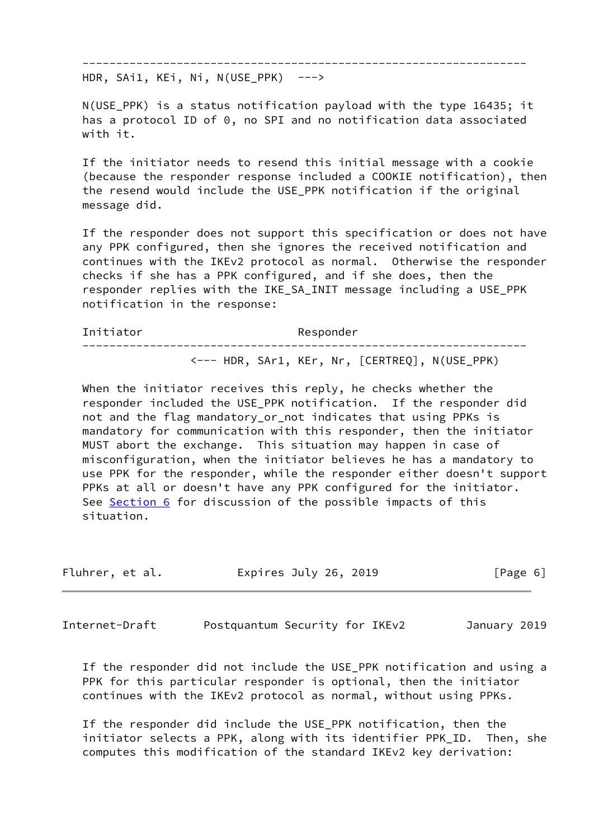------------------------------------------------------------------

HDR, SAi1, KEi, Ni, N(USE\_PPK) --->

 N(USE\_PPK) is a status notification payload with the type 16435; it has a protocol ID of 0, no SPI and no notification data associated with it.

 If the initiator needs to resend this initial message with a cookie (because the responder response included a COOKIE notification), then the resend would include the USE\_PPK notification if the original message did.

 If the responder does not support this specification or does not have any PPK configured, then she ignores the received notification and continues with the IKEv2 protocol as normal. Otherwise the responder checks if she has a PPK configured, and if she does, then the responder replies with the IKE\_SA\_INIT message including a USE\_PPK notification in the response:

Initiator Responder ------------------------------------------------------------------ <--- HDR, SAr1, KEr, Nr, [CERTREQ], N(USE\_PPK)

When the initiator receives this reply, he checks whether the responder included the USE\_PPK notification. If the responder did not and the flag mandatory\_or\_not indicates that using PPKs is mandatory for communication with this responder, then the initiator MUST abort the exchange. This situation may happen in case of misconfiguration, when the initiator believes he has a mandatory to use PPK for the responder, while the responder either doesn't support PPKs at all or doesn't have any PPK configured for the initiator. See [Section 6](#page-14-0) for discussion of the possible impacts of this situation.

|  | Fluhrer, et al. |  | Expires July 26, 2019 |  | [Page 6] |  |
|--|-----------------|--|-----------------------|--|----------|--|
|--|-----------------|--|-----------------------|--|----------|--|

Internet-Draft Postquantum Security for IKEv2 January 2019

 If the responder did not include the USE\_PPK notification and using a PPK for this particular responder is optional, then the initiator continues with the IKEv2 protocol as normal, without using PPKs.

 If the responder did include the USE\_PPK notification, then the initiator selects a PPK, along with its identifier PPK\_ID. Then, she computes this modification of the standard IKEv2 key derivation: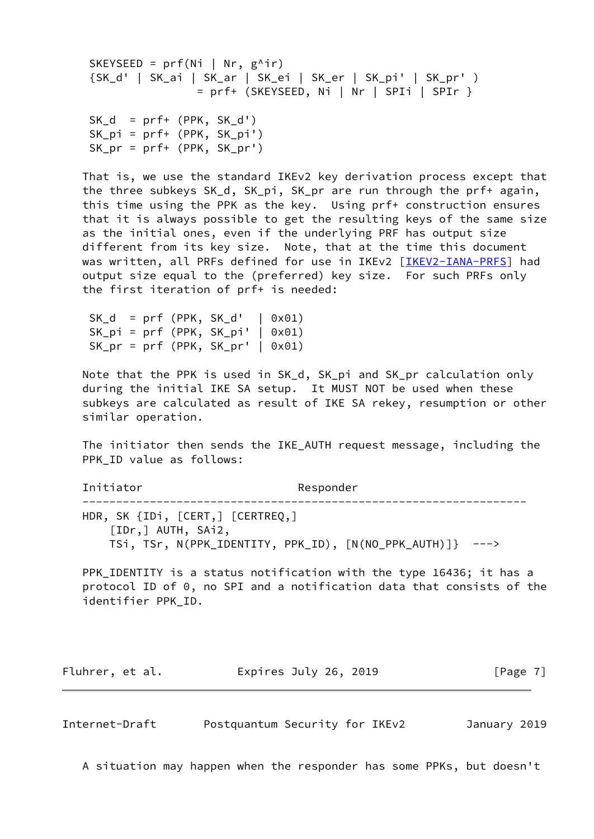```
SKEYSEED = prf(Ni | Nr, g^{\wedge}ir) {SK_d' | SK_ai | SK_ar | SK_ei | SK_er | SK_pi' | SK_pr' )
                = prf+ (SKEYSEED, Ni | Nr | SPIi | SPIr }
SK_d = prf+ (PPK, SK_d') SK_pi = prf+ (PPK, SK_pi')
SK pr = prf+ (PPK, SKpr')
```
 That is, we use the standard IKEv2 key derivation process except that the three subkeys SK\_d, SK\_pi, SK\_pr are run through the prf+ again, this time using the PPK as the key. Using prf+ construction ensures that it is always possible to get the resulting keys of the same size as the initial ones, even if the underlying PRF has output size different from its key size. Note, that at the time this document was written, all PRFs defined for use in IKEv2 [\[IKEV2-IANA-PRFS](#page-17-5)] had output size equal to the (preferred) key size. For such PRFs only the first iteration of prf+ is needed:

 $SK_d = prf (PPK, SK_d' | 0x01)$  $SK_p i = prf (PPK, SK_p i' | 0x01)$  $SK_pr = prf$  (PPK,  $SK_pr'$  | 0x01)

 Note that the PPK is used in SK\_d, SK\_pi and SK\_pr calculation only during the initial IKE SA setup. It MUST NOT be used when these subkeys are calculated as result of IKE SA rekey, resumption or other similar operation.

 The initiator then sends the IKE\_AUTH request message, including the PPK\_ID value as follows:

Initiator Responder

 ------------------------------------------------------------------ HDR, SK {IDi, [CERT,] [CERTREQ,] [IDr,] AUTH, SAi2, TSi, TSr, N(PPK\_IDENTITY, PPK\_ID), [N(NO\_PPK\_AUTH)]} --->

 PPK\_IDENTITY is a status notification with the type 16436; it has a protocol ID of 0, no SPI and a notification data that consists of the identifier PPK\_ID.

Fluhrer, et al. Expires July 26, 2019 [Page 7]

Internet-Draft Postquantum Security for IKEv2 January 2019

A situation may happen when the responder has some PPKs, but doesn't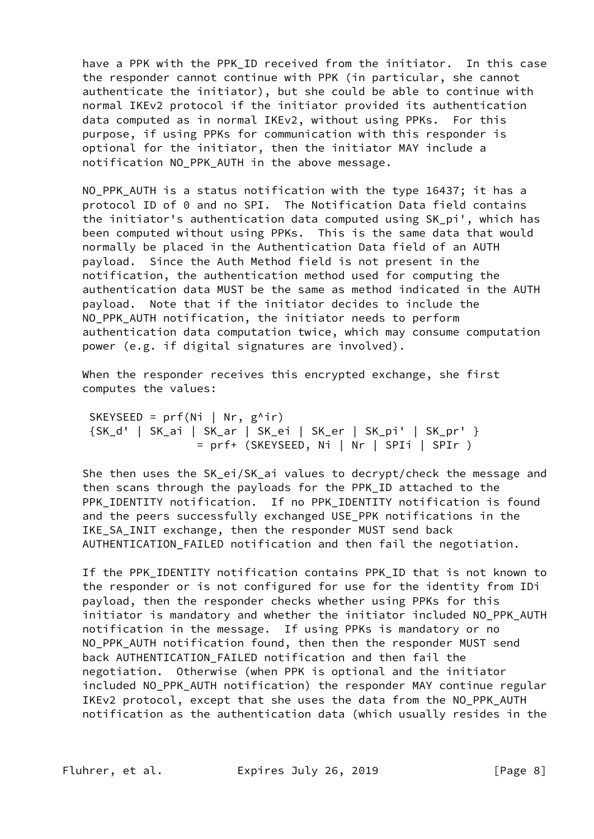have a PPK with the PPK ID received from the initiator. In this case the responder cannot continue with PPK (in particular, she cannot authenticate the initiator), but she could be able to continue with normal IKEv2 protocol if the initiator provided its authentication data computed as in normal IKEv2, without using PPKs. For this purpose, if using PPKs for communication with this responder is optional for the initiator, then the initiator MAY include a notification NO\_PPK\_AUTH in the above message.

NO PPK AUTH is a status notification with the type 16437; it has a protocol ID of 0 and no SPI. The Notification Data field contains the initiator's authentication data computed using SK\_pi', which has been computed without using PPKs. This is the same data that would normally be placed in the Authentication Data field of an AUTH payload. Since the Auth Method field is not present in the notification, the authentication method used for computing the authentication data MUST be the same as method indicated in the AUTH payload. Note that if the initiator decides to include the NO PPK AUTH notification, the initiator needs to perform authentication data computation twice, which may consume computation power (e.g. if digital signatures are involved).

When the responder receives this encrypted exchange, she first computes the values:

SKEYSEED =  $prf(Ni | Nr, g^{\wedge}ir)$  {SK\_d' | SK\_ai | SK\_ar | SK\_ei | SK\_er | SK\_pi' | SK\_pr' }  $= prf+$  (SKEYSEED, Ni | Nr | SPIi | SPIr )

 She then uses the SK\_ei/SK\_ai values to decrypt/check the message and then scans through the payloads for the PPK\_ID attached to the PPK IDENTITY notification. If no PPK IDENTITY notification is found and the peers successfully exchanged USE\_PPK notifications in the IKE\_SA\_INIT exchange, then the responder MUST send back AUTHENTICATION FAILED notification and then fail the negotiation.

If the PPK IDENTITY notification contains PPK ID that is not known to the responder or is not configured for use for the identity from IDi payload, then the responder checks whether using PPKs for this initiator is mandatory and whether the initiator included NO\_PPK\_AUTH notification in the message. If using PPKs is mandatory or no NO\_PPK\_AUTH notification found, then then the responder MUST send back AUTHENTICATION\_FAILED notification and then fail the negotiation. Otherwise (when PPK is optional and the initiator included NO\_PPK\_AUTH notification) the responder MAY continue regular IKEv2 protocol, except that she uses the data from the NO\_PPK\_AUTH notification as the authentication data (which usually resides in the

Fluhrer, et al. **Expires July 26, 2019** [Page 8]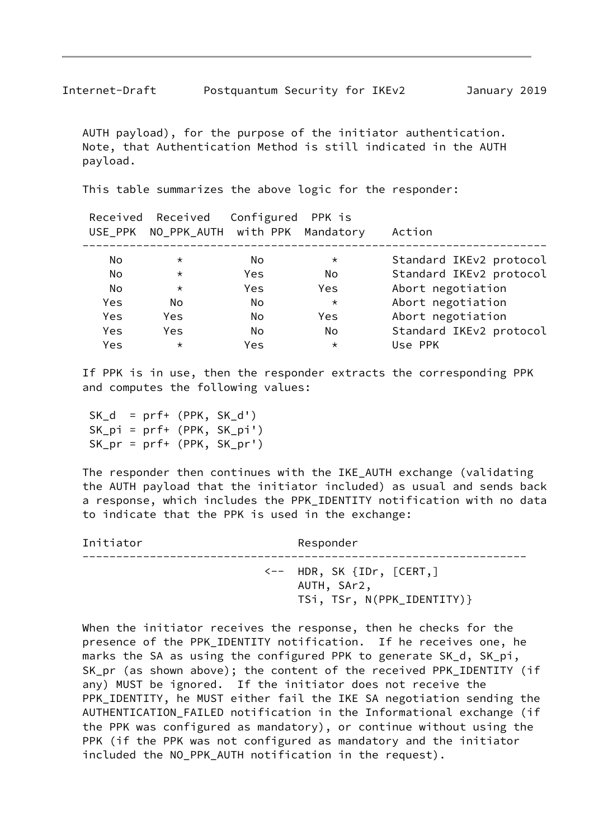AUTH payload), for the purpose of the initiator authentication. Note, that Authentication Method is still indicated in the AUTH payload.

This table summarizes the above logic for the responder:

|     | Received Received<br>USE_PPK NO_PPK_AUTH with PPK Mandatory | Configured PPK is |         | Action                  |
|-----|-------------------------------------------------------------|-------------------|---------|-------------------------|
| No  | $\star$                                                     | No.               | $\star$ | Standard IKEv2 protocol |
| No. | $\star$                                                     | Yes               | No      | Standard IKEv2 protocol |
| No. | $\star$                                                     | Yes               | Yes     | Abort negotiation       |
| Yes | No                                                          | No.               | $\star$ | Abort negotiation       |
| Yes | Yes                                                         | No.               | Yes     | Abort negotiation       |
| Yes | <b>Yes</b>                                                  | No                | No.     | Standard IKEv2 protocol |
| Yes | $^\star$                                                    | Yes               | $\star$ | Use PPK                 |
|     |                                                             |                   |         |                         |

 If PPK is in use, then the responder extracts the corresponding PPK and computes the following values:

SK  $d = prf+ (PPK, SKd')$  SK\_pi = prf+ (PPK, SK\_pi') SK\_pr = prf+ (PPK, SK\_pr')

 The responder then continues with the IKE\_AUTH exchange (validating the AUTH payload that the initiator included) as usual and sends back a response, which includes the PPK\_IDENTITY notification with no data to indicate that the PPK is used in the exchange:

Initiator Responder ------------------------------------------------------------------ <-- HDR, SK {IDr, [CERT,] AUTH, SAr2, TSi, TSr, N(PPK\_IDENTITY)}

 When the initiator receives the response, then he checks for the presence of the PPK\_IDENTITY notification. If he receives one, he marks the SA as using the configured PPK to generate SK\_d, SK\_pi, SK\_pr (as shown above); the content of the received PPK\_IDENTITY (if any) MUST be ignored. If the initiator does not receive the PPK\_IDENTITY, he MUST either fail the IKE SA negotiation sending the AUTHENTICATION\_FAILED notification in the Informational exchange (if the PPK was configured as mandatory), or continue without using the PPK (if the PPK was not configured as mandatory and the initiator included the NO\_PPK\_AUTH notification in the request).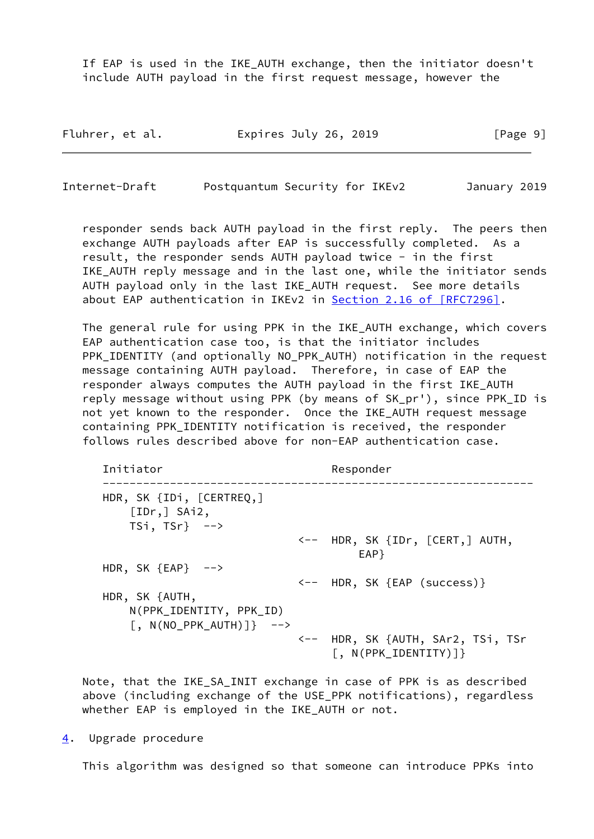If EAP is used in the IKE\_AUTH exchange, then the initiator doesn't include AUTH payload in the first request message, however the

| Fluhrer, et al. | Expires July 26, 2019 | [Page 9] |
|-----------------|-----------------------|----------|
|-----------------|-----------------------|----------|

<span id="page-10-1"></span>Internet-Draft Postquantum Security for IKEv2 January 2019

 responder sends back AUTH payload in the first reply. The peers then exchange AUTH payloads after EAP is successfully completed. As a result, the responder sends AUTH payload twice - in the first IKE\_AUTH reply message and in the last one, while the initiator sends AUTH payload only in the last IKE\_AUTH request. See more details about EAP authentication in IKEv2 in Section [2.16 of \[RFC7296\]](https://datatracker.ietf.org/doc/pdf/rfc7296#section-2.16).

The general rule for using PPK in the IKE AUTH exchange, which covers EAP authentication case too, is that the initiator includes PPK\_IDENTITY (and optionally NO\_PPK\_AUTH) notification in the request message containing AUTH payload. Therefore, in case of EAP the responder always computes the AUTH payload in the first IKE\_AUTH reply message without using PPK (by means of SK\_pr'), since PPK\_ID is not yet known to the responder. Once the IKE\_AUTH request message containing PPK\_IDENTITY notification is received, the responder follows rules described above for non-EAP authentication case.

Initiator Responder ---------------------------------------------------------------- HDR, SK {IDi, [CERTREQ,] [IDr,] SAi2, TSi,  $TSr$ }  $\rightarrow$  <-- HDR, SK {IDr, [CERT,] AUTH, en terms of the contract of the contract of the contract of the contract of the contract of the contract of the contract of the contract of the contract of the contract of the contract of the contract of the contract of th HDR, SK  ${EAP}$  --> <-- HDR, SK {EAP (success)} HDR, SK {AUTH, N(PPK\_IDENTITY, PPK\_ID)  $[$ , N(NO\_PPK\_AUTH)]} --> <-- HDR, SK {AUTH, SAr2, TSi, TSr [, N(PPK\_IDENTITY)]}

 Note, that the IKE\_SA\_INIT exchange in case of PPK is as described above (including exchange of the USE\_PPK notifications), regardless whether EAP is employed in the IKE\_AUTH or not.

<span id="page-10-0"></span>[4](#page-10-0). Upgrade procedure

This algorithm was designed so that someone can introduce PPKs into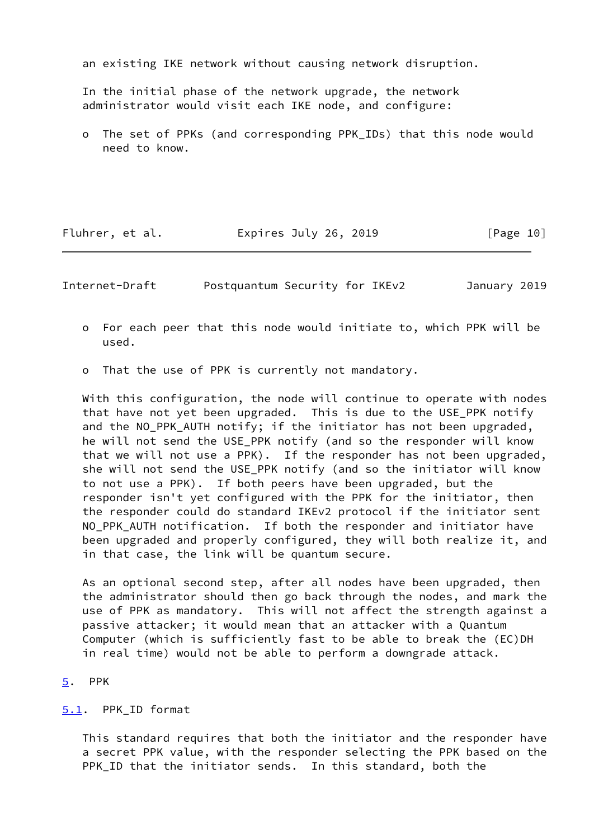an existing IKE network without causing network disruption.

 In the initial phase of the network upgrade, the network administrator would visit each IKE node, and configure:

 o The set of PPKs (and corresponding PPK\_IDs) that this node would need to know.

Fluhrer, et al. Expires July 26, 2019 [Page 10]

<span id="page-11-1"></span>Internet-Draft Postquantum Security for IKEv2 January 2019

- o For each peer that this node would initiate to, which PPK will be used.
- o That the use of PPK is currently not mandatory.

 With this configuration, the node will continue to operate with nodes that have not yet been upgraded. This is due to the USE\_PPK notify and the NO PPK AUTH notify; if the initiator has not been upgraded, he will not send the USE\_PPK notify (and so the responder will know that we will not use a PPK). If the responder has not been upgraded, she will not send the USE\_PPK notify (and so the initiator will know to not use a PPK). If both peers have been upgraded, but the responder isn't yet configured with the PPK for the initiator, then the responder could do standard IKEv2 protocol if the initiator sent NO\_PPK\_AUTH notification. If both the responder and initiator have been upgraded and properly configured, they will both realize it, and in that case, the link will be quantum secure.

 As an optional second step, after all nodes have been upgraded, then the administrator should then go back through the nodes, and mark the use of PPK as mandatory. This will not affect the strength against a passive attacker; it would mean that an attacker with a Quantum Computer (which is sufficiently fast to be able to break the (EC)DH in real time) would not be able to perform a downgrade attack.

#### <span id="page-11-0"></span>[5](#page-11-0). PPK

#### <span id="page-11-2"></span>[5.1](#page-11-2). PPK\_ID format

 This standard requires that both the initiator and the responder have a secret PPK value, with the responder selecting the PPK based on the PPK\_ID that the initiator sends. In this standard, both the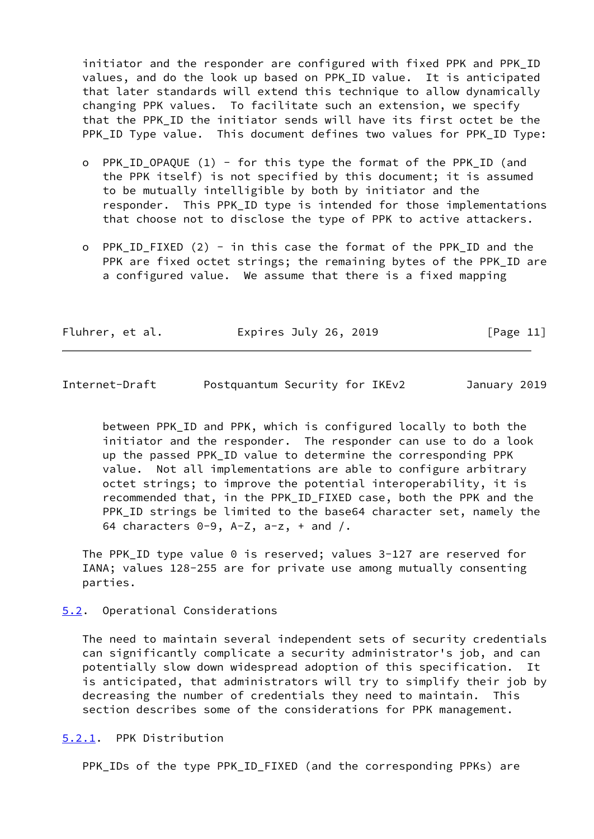initiator and the responder are configured with fixed PPK and PPK\_ID values, and do the look up based on PPK\_ID value. It is anticipated that later standards will extend this technique to allow dynamically changing PPK values. To facilitate such an extension, we specify that the PPK\_ID the initiator sends will have its first octet be the PPK\_ID Type value. This document defines two values for PPK\_ID Type:

- o PPK\_ID\_OPAQUE (1) for this type the format of the PPK\_ID (and the PPK itself) is not specified by this document; it is assumed to be mutually intelligible by both by initiator and the responder. This PPK\_ID type is intended for those implementations that choose not to disclose the type of PPK to active attackers.
- o PPK\_ID\_FIXED (2) in this case the format of the PPK\_ID and the PPK are fixed octet strings; the remaining bytes of the PPK\_ID are a configured value. We assume that there is a fixed mapping

| Fluhrer, et al. | Expires July 26, 2019 | [Page 11] |
|-----------------|-----------------------|-----------|
|-----------------|-----------------------|-----------|

<span id="page-12-1"></span>Internet-Draft Postquantum Security for IKEv2 January 2019

 between PPK\_ID and PPK, which is configured locally to both the initiator and the responder. The responder can use to do a look up the passed PPK\_ID value to determine the corresponding PPK value. Not all implementations are able to configure arbitrary octet strings; to improve the potential interoperability, it is recommended that, in the PPK\_ID\_FIXED case, both the PPK and the PPK\_ID strings be limited to the base64 character set, namely the 64 characters  $0-9$ ,  $A-Z$ ,  $a-z$ ,  $+$  and  $/$ .

 The PPK\_ID type value 0 is reserved; values 3-127 are reserved for IANA; values 128-255 are for private use among mutually consenting parties.

<span id="page-12-0"></span>[5.2](#page-12-0). Operational Considerations

 The need to maintain several independent sets of security credentials can significantly complicate a security administrator's job, and can potentially slow down widespread adoption of this specification. It is anticipated, that administrators will try to simplify their job by decreasing the number of credentials they need to maintain. This section describes some of the considerations for PPK management.

<span id="page-12-2"></span>[5.2.1](#page-12-2). PPK Distribution

PPK\_IDs of the type PPK\_ID\_FIXED (and the corresponding PPKs) are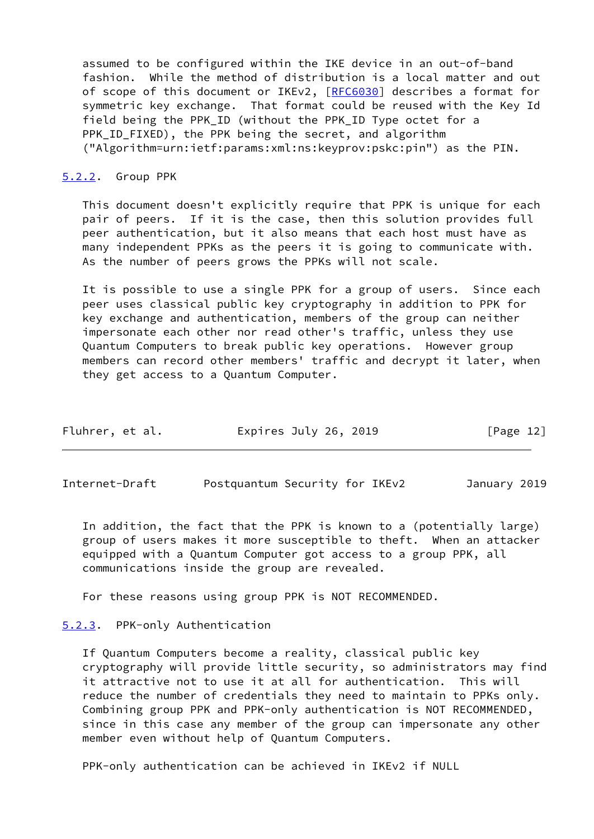assumed to be configured within the IKE device in an out-of-band fashion. While the method of distribution is a local matter and out of scope of this document or IKEv2, [\[RFC6030](https://datatracker.ietf.org/doc/pdf/rfc6030)] describes a format for symmetric key exchange. That format could be reused with the Key Id field being the PPK\_ID (without the PPK\_ID Type octet for a PPK ID FIXED), the PPK being the secret, and algorithm ("Algorithm=urn:ietf:params:xml:ns:keyprov:pskc:pin") as the PIN.

#### <span id="page-13-0"></span>[5.2.2](#page-13-0). Group PPK

 This document doesn't explicitly require that PPK is unique for each pair of peers. If it is the case, then this solution provides full peer authentication, but it also means that each host must have as many independent PPKs as the peers it is going to communicate with. As the number of peers grows the PPKs will not scale.

 It is possible to use a single PPK for a group of users. Since each peer uses classical public key cryptography in addition to PPK for key exchange and authentication, members of the group can neither impersonate each other nor read other's traffic, unless they use Quantum Computers to break public key operations. However group members can record other members' traffic and decrypt it later, when they get access to a Quantum Computer.

| Fluhrer, et al. | Expires July 26, 2019 | [Page 12] |
|-----------------|-----------------------|-----------|
|-----------------|-----------------------|-----------|

<span id="page-13-2"></span>Internet-Draft Postquantum Security for IKEv2 January 2019

 In addition, the fact that the PPK is known to a (potentially large) group of users makes it more susceptible to theft. When an attacker equipped with a Quantum Computer got access to a group PPK, all communications inside the group are revealed.

For these reasons using group PPK is NOT RECOMMENDED.

# <span id="page-13-1"></span>[5.2.3](#page-13-1). PPK-only Authentication

 If Quantum Computers become a reality, classical public key cryptography will provide little security, so administrators may find it attractive not to use it at all for authentication. This will reduce the number of credentials they need to maintain to PPKs only. Combining group PPK and PPK-only authentication is NOT RECOMMENDED, since in this case any member of the group can impersonate any other member even without help of Quantum Computers.

PPK-only authentication can be achieved in IKEv2 if NULL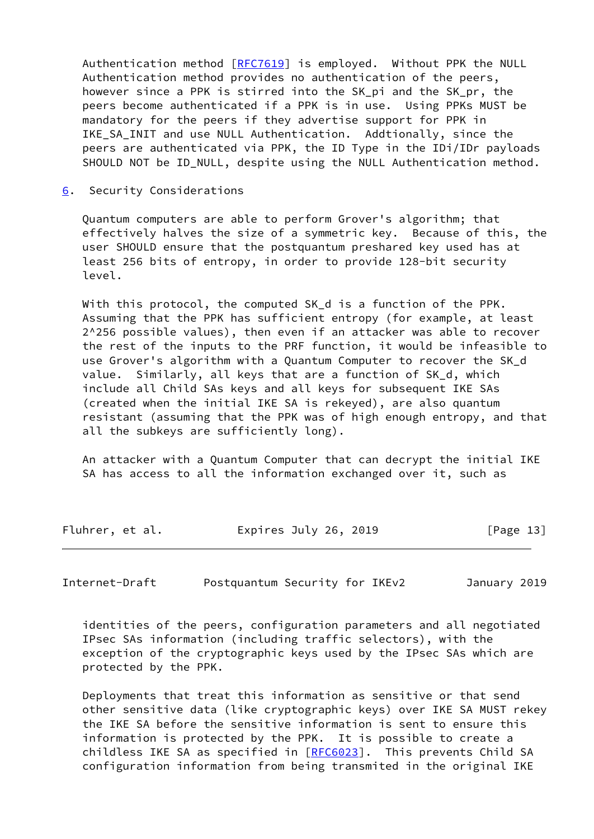Authentication method [[RFC7619](https://datatracker.ietf.org/doc/pdf/rfc7619)] is employed. Without PPK the NULL Authentication method provides no authentication of the peers, however since a PPK is stirred into the SK pi and the SK pr, the peers become authenticated if a PPK is in use. Using PPKs MUST be mandatory for the peers if they advertise support for PPK in IKE SA INIT and use NULL Authentication. Addtionally, since the peers are authenticated via PPK, the ID Type in the IDi/IDr payloads SHOULD NOT be ID\_NULL, despite using the NULL Authentication method.

<span id="page-14-0"></span>[6](#page-14-0). Security Considerations

 Quantum computers are able to perform Grover's algorithm; that effectively halves the size of a symmetric key. Because of this, the user SHOULD ensure that the postquantum preshared key used has at least 256 bits of entropy, in order to provide 128-bit security level.

 With this protocol, the computed SK\_d is a function of the PPK. Assuming that the PPK has sufficient entropy (for example, at least 2^256 possible values), then even if an attacker was able to recover the rest of the inputs to the PRF function, it would be infeasible to use Grover's algorithm with a Quantum Computer to recover the SK\_d value. Similarly, all keys that are a function of SK\_d, which include all Child SAs keys and all keys for subsequent IKE SAs (created when the initial IKE SA is rekeyed), are also quantum resistant (assuming that the PPK was of high enough entropy, and that all the subkeys are sufficiently long).

 An attacker with a Quantum Computer that can decrypt the initial IKE SA has access to all the information exchanged over it, such as

| Fluhrer, et al. | Expires July 26, 2019 | [Page 13] |
|-----------------|-----------------------|-----------|
|-----------------|-----------------------|-----------|

Internet-Draft Postquantum Security for IKEv2 January 2019

 identities of the peers, configuration parameters and all negotiated IPsec SAs information (including traffic selectors), with the exception of the cryptographic keys used by the IPsec SAs which are protected by the PPK.

 Deployments that treat this information as sensitive or that send other sensitive data (like cryptographic keys) over IKE SA MUST rekey the IKE SA before the sensitive information is sent to ensure this information is protected by the PPK. It is possible to create a childless IKE SA as specified in [\[RFC6023](https://datatracker.ietf.org/doc/pdf/rfc6023)]. This prevents Child SA configuration information from being transmited in the original IKE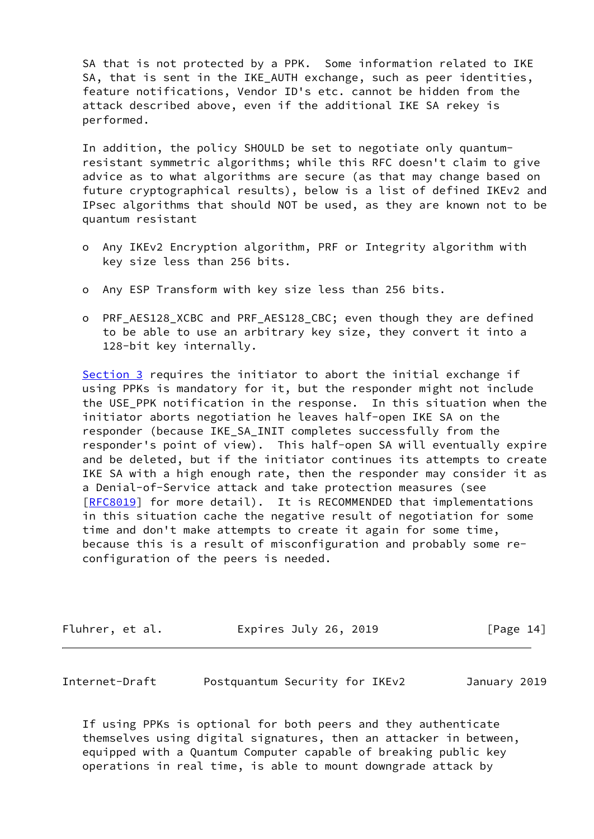SA that is not protected by a PPK. Some information related to IKE SA, that is sent in the IKE\_AUTH exchange, such as peer identities, feature notifications, Vendor ID's etc. cannot be hidden from the attack described above, even if the additional IKE SA rekey is performed.

 In addition, the policy SHOULD be set to negotiate only quantum resistant symmetric algorithms; while this RFC doesn't claim to give advice as to what algorithms are secure (as that may change based on future cryptographical results), below is a list of defined IKEv2 and IPsec algorithms that should NOT be used, as they are known not to be quantum resistant

- o Any IKEv2 Encryption algorithm, PRF or Integrity algorithm with key size less than 256 bits.
- o Any ESP Transform with key size less than 256 bits.
- o PRF AES128 XCBC and PRF AES128 CBC; even though they are defined to be able to use an arbitrary key size, they convert it into a 128-bit key internally.

[Section 3](#page-5-2) requires the initiator to abort the initial exchange if using PPKs is mandatory for it, but the responder might not include the USE\_PPK notification in the response. In this situation when the initiator aborts negotiation he leaves half-open IKE SA on the responder (because IKE\_SA\_INIT completes successfully from the responder's point of view). This half-open SA will eventually expire and be deleted, but if the initiator continues its attempts to create IKE SA with a high enough rate, then the responder may consider it as a Denial-of-Service attack and take protection measures (see [\[RFC8019](https://datatracker.ietf.org/doc/pdf/rfc8019)] for more detail). It is RECOMMENDED that implementations in this situation cache the negative result of negotiation for some time and don't make attempts to create it again for some time, because this is a result of misconfiguration and probably some re configuration of the peers is needed.

| Fluhrer, et al.<br>Expires July 26, 2019 | [Page 14] |
|------------------------------------------|-----------|
|------------------------------------------|-----------|

<span id="page-15-0"></span>Internet-Draft Postquantum Security for IKEv2 January 2019

 If using PPKs is optional for both peers and they authenticate themselves using digital signatures, then an attacker in between, equipped with a Quantum Computer capable of breaking public key operations in real time, is able to mount downgrade attack by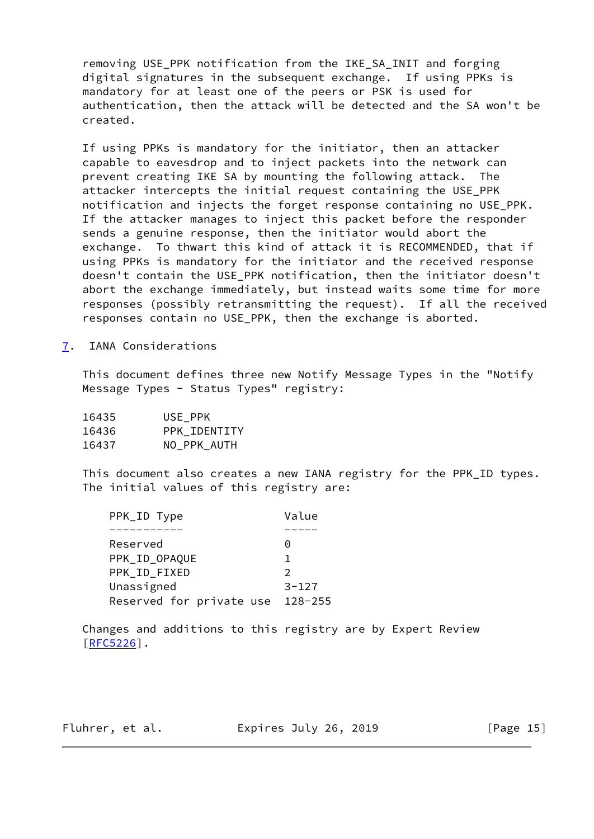removing USE\_PPK notification from the IKE\_SA\_INIT and forging digital signatures in the subsequent exchange. If using PPKs is mandatory for at least one of the peers or PSK is used for authentication, then the attack will be detected and the SA won't be created.

 If using PPKs is mandatory for the initiator, then an attacker capable to eavesdrop and to inject packets into the network can prevent creating IKE SA by mounting the following attack. The attacker intercepts the initial request containing the USE\_PPK notification and injects the forget response containing no USE\_PPK. If the attacker manages to inject this packet before the responder sends a genuine response, then the initiator would abort the exchange. To thwart this kind of attack it is RECOMMENDED, that if using PPKs is mandatory for the initiator and the received response doesn't contain the USE\_PPK notification, then the initiator doesn't abort the exchange immediately, but instead waits some time for more responses (possibly retransmitting the request). If all the received responses contain no USE\_PPK, then the exchange is aborted.

<span id="page-16-0"></span>[7](#page-16-0). IANA Considerations

 This document defines three new Notify Message Types in the "Notify Message Types - Status Types" registry:

| 16435 | USE PPK      |
|-------|--------------|
| 16436 | PPK IDENTITY |
| 16437 | NO PPK AUTH  |

 This document also creates a new IANA registry for the PPK\_ID types. The initial values of this registry are:

| Reserved<br>0<br>PPK_ID_OPAQUE<br>PPK ID FIXED<br>$\mathcal{P}$<br>Unassigned<br>$3 - 127$<br>Reserved for private use<br>$128 - 255$ | PPK_ID Type | Value |
|---------------------------------------------------------------------------------------------------------------------------------------|-------------|-------|
|                                                                                                                                       |             |       |
|                                                                                                                                       |             |       |
|                                                                                                                                       |             |       |
|                                                                                                                                       |             |       |
|                                                                                                                                       |             |       |
|                                                                                                                                       |             |       |

 Changes and additions to this registry are by Expert Review  $[REC5226]$ .

Fluhrer, et al. **Expires July 26, 2019** [Page 15]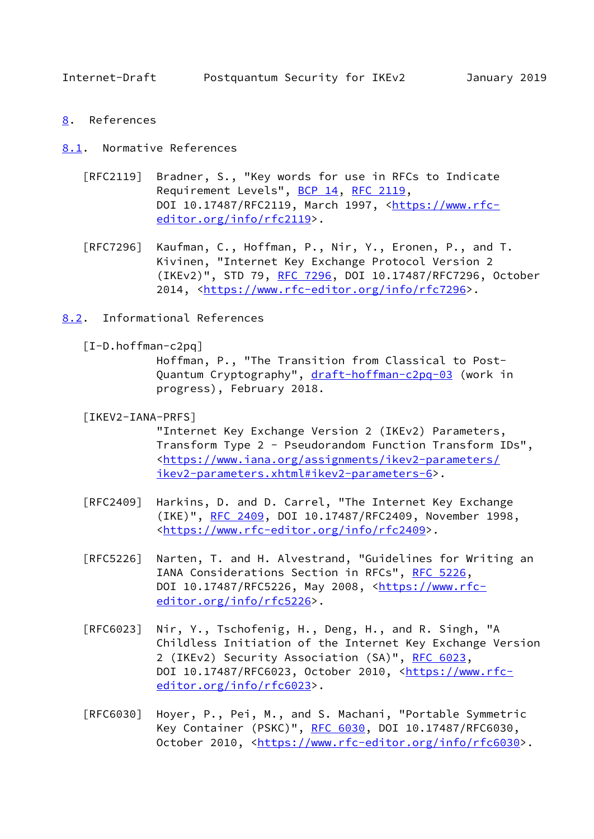<span id="page-17-1"></span>Internet-Draft Postquantum Security for IKEv2 January 2019

<span id="page-17-0"></span>[8](#page-17-0). References

<span id="page-17-2"></span>[8.1](#page-17-2). Normative References

- [RFC2119] Bradner, S., "Key words for use in RFCs to Indicate Requirement Levels", [BCP 14](https://datatracker.ietf.org/doc/pdf/bcp14), [RFC 2119](https://datatracker.ietf.org/doc/pdf/rfc2119), DOI 10.17487/RFC2119, March 1997, [<https://www.rfc](https://www.rfc-editor.org/info/rfc2119) [editor.org/info/rfc2119](https://www.rfc-editor.org/info/rfc2119)>.
- [RFC7296] Kaufman, C., Hoffman, P., Nir, Y., Eronen, P., and T. Kivinen, "Internet Key Exchange Protocol Version 2 (IKEv2)", STD 79, [RFC 7296](https://datatracker.ietf.org/doc/pdf/rfc7296), DOI 10.17487/RFC7296, October 2014, [<https://www.rfc-editor.org/info/rfc7296](https://www.rfc-editor.org/info/rfc7296)>.
- <span id="page-17-4"></span><span id="page-17-3"></span>[8.2](#page-17-3). Informational References
	- [I-D.hoffman-c2pq]

 Hoffman, P., "The Transition from Classical to Post Quantum Cryptography", [draft-hoffman-c2pq-03](https://datatracker.ietf.org/doc/pdf/draft-hoffman-c2pq-03) (work in progress), February 2018.

<span id="page-17-5"></span>[IKEV2-IANA-PRFS]

 "Internet Key Exchange Version 2 (IKEv2) Parameters, Transform Type 2 - Pseudorandom Function Transform IDs", <[https://www.iana.org/assignments/ikev2-parameters/](https://www.iana.org/assignments/ikev2-parameters/ikev2-parameters.xhtml#ikev2-parameters-6) [ikev2-parameters.xhtml#ikev2-parameters-6>](https://www.iana.org/assignments/ikev2-parameters/ikev2-parameters.xhtml#ikev2-parameters-6).

- [RFC2409] Harkins, D. and D. Carrel, "The Internet Key Exchange (IKE)", [RFC 2409,](https://datatracker.ietf.org/doc/pdf/rfc2409) DOI 10.17487/RFC2409, November 1998, <[https://www.rfc-editor.org/info/rfc2409>](https://www.rfc-editor.org/info/rfc2409).
- [RFC5226] Narten, T. and H. Alvestrand, "Guidelines for Writing an IANA Considerations Section in RFCs", [RFC 5226](https://datatracker.ietf.org/doc/pdf/rfc5226), DOI 10.17487/RFC5226, May 2008, <[https://www.rfc](https://www.rfc-editor.org/info/rfc5226) [editor.org/info/rfc5226](https://www.rfc-editor.org/info/rfc5226)>.
- [RFC6023] Nir, Y., Tschofenig, H., Deng, H., and R. Singh, "A Childless Initiation of the Internet Key Exchange Version 2 (IKEv2) Security Association (SA)", [RFC 6023](https://datatracker.ietf.org/doc/pdf/rfc6023), DOI 10.17487/RFC6023, October 2010, [<https://www.rfc](https://www.rfc-editor.org/info/rfc6023) [editor.org/info/rfc6023](https://www.rfc-editor.org/info/rfc6023)>.
- [RFC6030] Hoyer, P., Pei, M., and S. Machani, "Portable Symmetric Key Container (PSKC)", [RFC 6030](https://datatracker.ietf.org/doc/pdf/rfc6030), DOI 10.17487/RFC6030, October 2010, [<https://www.rfc-editor.org/info/rfc6030](https://www.rfc-editor.org/info/rfc6030)>.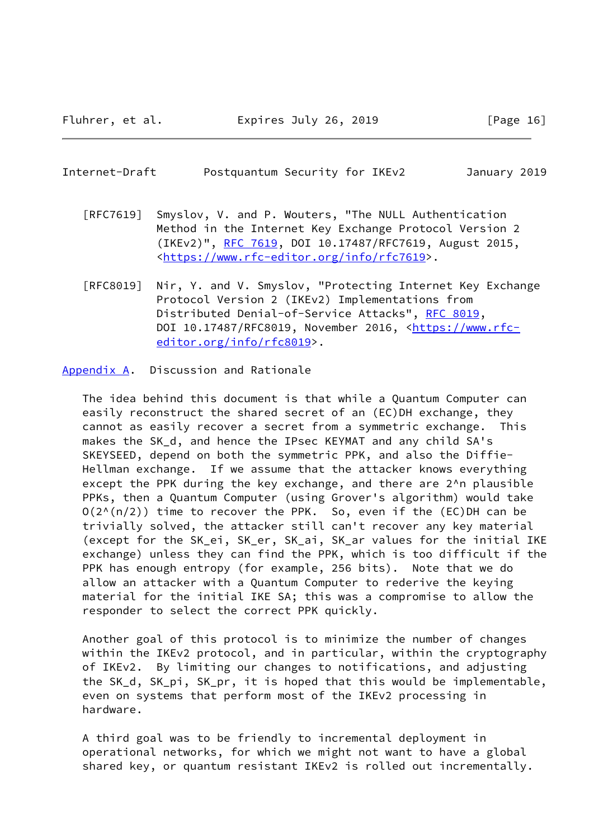### <span id="page-18-1"></span>Internet-Draft Postquantum Security for IKEv2 January 2019

- [RFC7619] Smyslov, V. and P. Wouters, "The NULL Authentication Method in the Internet Key Exchange Protocol Version 2 (IKEv2)", [RFC 7619](https://datatracker.ietf.org/doc/pdf/rfc7619), DOI 10.17487/RFC7619, August 2015, <[https://www.rfc-editor.org/info/rfc7619>](https://www.rfc-editor.org/info/rfc7619).
- [RFC8019] Nir, Y. and V. Smyslov, "Protecting Internet Key Exchange Protocol Version 2 (IKEv2) Implementations from Distributed Denial-of-Service Attacks", [RFC 8019,](https://datatracker.ietf.org/doc/pdf/rfc8019) DOI 10.17487/RFC8019, November 2016, [<https://www.rfc](https://www.rfc-editor.org/info/rfc8019) [editor.org/info/rfc8019](https://www.rfc-editor.org/info/rfc8019)>.

<span id="page-18-0"></span>[Appendix A.](#page-18-0) Discussion and Rationale

 The idea behind this document is that while a Quantum Computer can easily reconstruct the shared secret of an (EC)DH exchange, they cannot as easily recover a secret from a symmetric exchange. This makes the SK\_d, and hence the IPsec KEYMAT and any child SA's SKEYSEED, depend on both the symmetric PPK, and also the Diffie- Hellman exchange. If we assume that the attacker knows everything except the PPK during the key exchange, and there are 2^n plausible PPKs, then a Quantum Computer (using Grover's algorithm) would take  $O(2^{N(n/2)})$  time to recover the PPK. So, even if the (EC)DH can be trivially solved, the attacker still can't recover any key material (except for the SK\_ei, SK\_er, SK\_ai, SK\_ar values for the initial IKE exchange) unless they can find the PPK, which is too difficult if the PPK has enough entropy (for example, 256 bits). Note that we do allow an attacker with a Quantum Computer to rederive the keying material for the initial IKE SA; this was a compromise to allow the responder to select the correct PPK quickly.

 Another goal of this protocol is to minimize the number of changes within the IKEv2 protocol, and in particular, within the cryptography of IKEv2. By limiting our changes to notifications, and adjusting the SK\_d, SK\_pi, SK\_pr, it is hoped that this would be implementable, even on systems that perform most of the IKEv2 processing in hardware.

 A third goal was to be friendly to incremental deployment in operational networks, for which we might not want to have a global shared key, or quantum resistant IKEv2 is rolled out incrementally.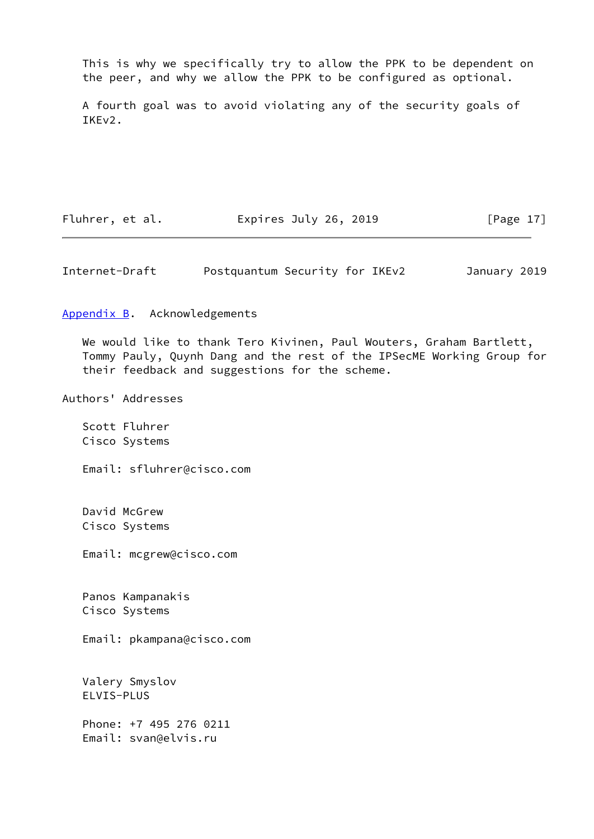This is why we specifically try to allow the PPK to be dependent on the peer, and why we allow the PPK to be configured as optional.

 A fourth goal was to avoid violating any of the security goals of IKEv2.

Fluhrer, et al. **Expires July 26, 2019** [Page 17]

<span id="page-19-1"></span>Internet-Draft Postquantum Security for IKEv2 January 2019

<span id="page-19-0"></span>[Appendix B.](#page-19-0) Acknowledgements

 We would like to thank Tero Kivinen, Paul Wouters, Graham Bartlett, Tommy Pauly, Quynh Dang and the rest of the IPSecME Working Group for their feedback and suggestions for the scheme.

Authors' Addresses

 Scott Fluhrer Cisco Systems

Email: sfluhrer@cisco.com

 David McGrew Cisco Systems

Email: mcgrew@cisco.com

 Panos Kampanakis Cisco Systems

Email: pkampana@cisco.com

 Valery Smyslov ELVIS-PLUS

 Phone: +7 495 276 0211 Email: svan@elvis.ru